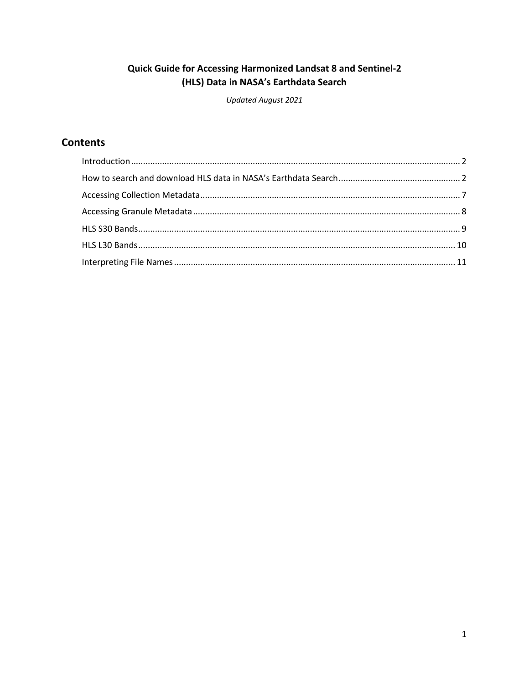## Quick Guide for Accessing Harmonized Landsat 8 and Sentinel-2 (HLS) Data in NASA's Earthdata Search

Updated August 2021

# **Contents**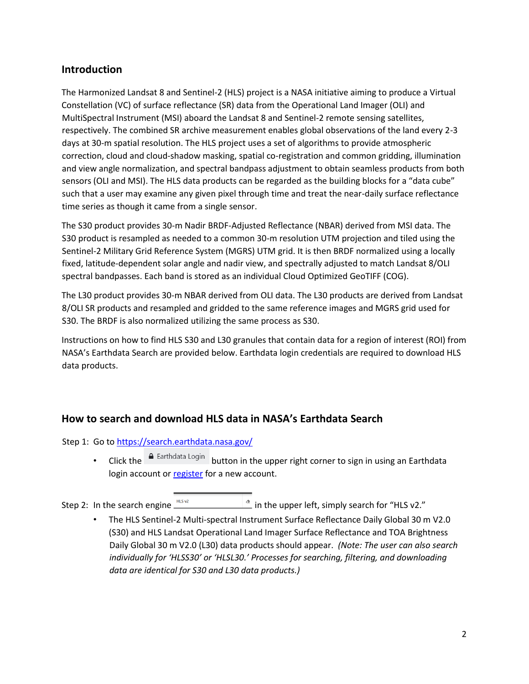### <span id="page-1-0"></span>**Introduction**

The Harmonized Landsat 8 and Sentinel-2 (HLS) project is a NASA initiative aiming to produce a Virtual Constellation (VC) of surface reflectance (SR) data from the Operational Land Imager (OLI) and MultiSpectral Instrument (MSI) aboard the Landsat 8 and Sentinel-2 remote sensing satellites, respectively. The combined SR archive measurement enables global observations of the land every 2-3 days at 30-m spatial resolution. The HLS project uses a set of algorithms to provide atmospheric correction, cloud and cloud-shadow masking, spatial co-registration and common gridding, illumination and view angle normalization, and spectral bandpass adjustment to obtain seamless products from both sensors (OLI and MSI). The HLS data products can be regarded as the building blocks for a "data cube" such that a user may examine any given pixel through time and treat the near-daily surface reflectance time series as though it came from a single sensor.

The S30 product provides 30-m Nadir BRDF-Adjusted Reflectance (NBAR) derived from MSI data. The S30 product is resampled as needed to a common 30-m resolution UTM projection and tiled using the Sentinel-2 Military Grid Reference System (MGRS) UTM grid. It is then BRDF normalized using a locally fixed, latitude-dependent solar angle and nadir view, and spectrally adjusted to match Landsat 8/OLI spectral bandpasses. Each band is stored as an individual Cloud Optimized GeoTIFF (COG).

The L30 product provides 30-m NBAR derived from OLI data. The L30 products are derived from Landsat 8/OLI SR products and resampled and gridded to the same reference images and MGRS grid used for S30. The BRDF is also normalized utilizing the same process as S30.

Instructions on how to find HLS S30 and L30 granules that contain data for a region of interest (ROI) from NASA's Earthdata Search are provided below. Earthdata login credentials are required to download HLS data products.

### <span id="page-1-1"></span>**How to search and download HLS data in NASA's Earthdata Search**

Step 1: Go to [https://search.earthdata.nasa.gov/](https://search.earthdata.nasa.gov/search)

• Click the  $\overline{a}$  Earthdata Login button in the upper right corner to sign in using an Earthdata login account o[r register](https://urs.earthdata.nasa.gov/users/new) [f](https://urs.earthdata.nasa.gov/users/new)or a new account.

Step 2: In the search engine  $\frac{1}{\sqrt{1-\frac{1}{n}}}\sqrt{\frac{1}{n}}$  in the upper left, simply search for "HLS v2."

• The HLS Sentinel-2 Multi-spectral Instrument Surface Reflectance Daily Global 30 m V2.0 (S30) and HLS Landsat Operational Land Imager Surface Reflectance and TOA Brightness Daily Global 30 m V2.0 (L30) data products should appear. *(Note: The user can also search individually for 'HLSS30' or 'HLSL30.' Processes for searching, filtering, and downloading data are identical for S30 and L30 data products.)*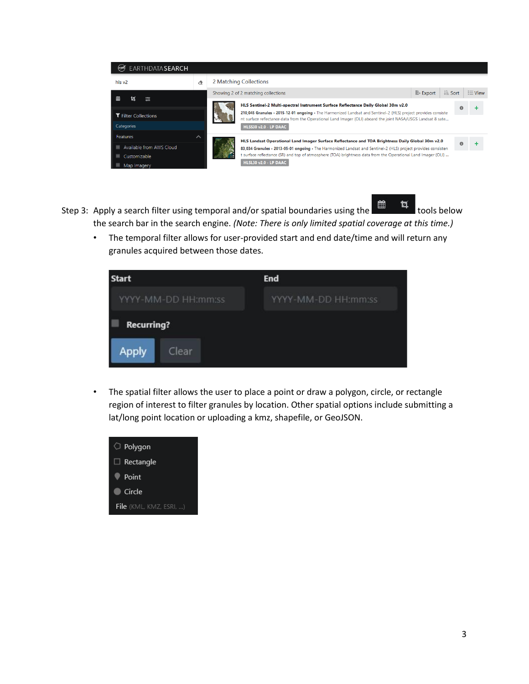

- Step 3: Apply a search filter using temporal and/or spatial boundaries using the  $\frac{d\mathbf{a}}{dt}$  tools below the search bar in the search engine. *(Note: There is only limited spatial coverage at this time.)*
	- The temporal filter allows for user-provided start and end date/time and will return any granules acquired between those dates.



• The spatial filter allows the user to place a point or draw a polygon, circle, or rectangle region of interest to filter granules by location. Other spatial options include submitting a lat/long point location or uploading a kmz, shapefile, or GeoJSON.

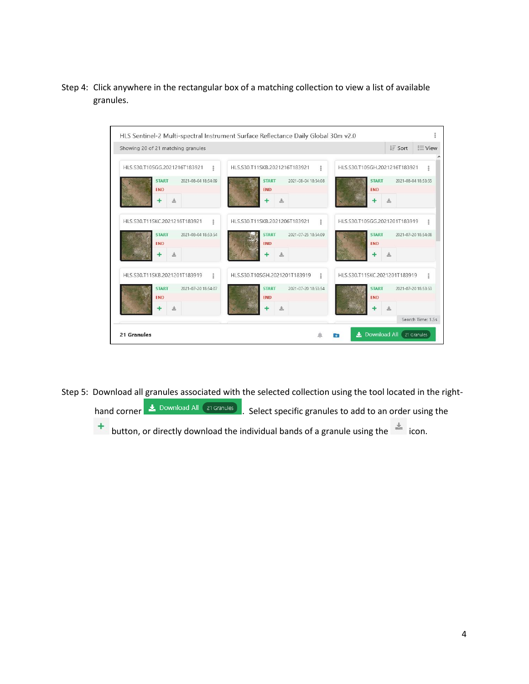Step 4: Click anywhere in the rectangular box of a matching collection to view a list of available granules.

| HLS.S30.T11SKB.2021216T183921<br>$\overline{\phantom{a}}$ | HIS.S30.T10SGH.2021216T183921<br>ŧ      |
|-----------------------------------------------------------|-----------------------------------------|
| <b>START</b><br>2021-08-04 18:54:08                       | <b>START</b><br>2021-08-04 18:53:55     |
|                                                           | <b>END</b>                              |
|                                                           | 孟                                       |
| HLS.S30.T11SKB.2021206T183921<br>å                        | HLS.S30.T10SGG.2021201T183919<br>2      |
| <b>START</b><br>2021-07-25 18:54:09                       | <b>START</b><br>2021-07-20 18:54:08     |
| <b>FND</b>                                                | <b>FND</b>                              |
|                                                           | 孟                                       |
| HLS.S30.T10SGH.2021201T183919<br>$\frac{9}{9}$            | HLS.S30.T11SKC.2021201T183919<br>÷      |
| 2021-07-20 18:53:54<br><b>START</b>                       | <b>START</b><br>2021-07-20 18:53:53     |
|                                                           | <b>END</b>                              |
|                                                           | 圡                                       |
|                                                           | Search Time: 1.5s                       |
|                                                           | <b>END</b><br>土<br>土<br><b>END</b><br>土 |

Step 5: Download all granules associated with the selected collection using the tool located in the right-

hand corner  $\overline{\phantom{a}}$  Download All (21 Granules). Select specific granules to add to an order using the

**t** button, or directly download the individual bands of a granule using the  $\leq$  icon.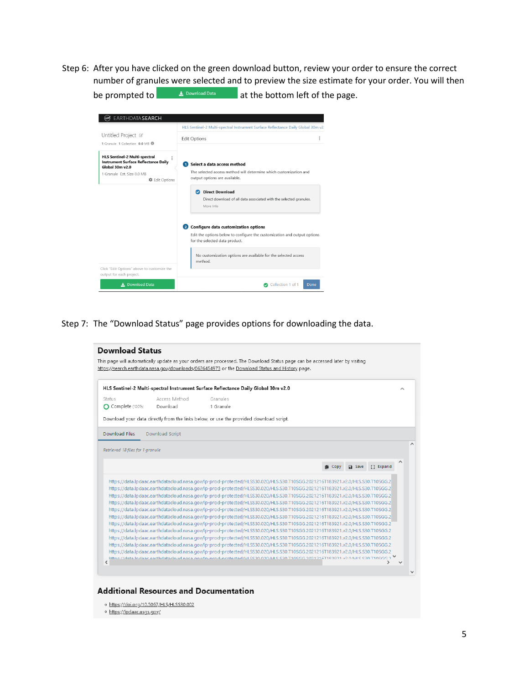Step 6: After you have clicked on the green download button, review your order to ensure the correct number of granules were selected and to preview the size estimate for your order. You will then be prompted to  $\Box$  **b** Download Data **at the bottom left of the page.** 

| EARTHDATA SEARCH<br>Untitled Project III                                                               | HLS Sentinel-2 Multi-spectral Instrument Surface Reflectance Daily Global 30m v2.                          |  |
|--------------------------------------------------------------------------------------------------------|------------------------------------------------------------------------------------------------------------|--|
| 1 Granule 1 Collection 0.0 MB                                                                          | <b>Edit Options</b>                                                                                        |  |
| <b>HLS Sentinel-2 Multi-spectral</b><br><b>Instrument Surface Reflectance Daily</b><br>Global 30m v2.0 | Select a data access method                                                                                |  |
| 1 Granule Fst. Size 0.0 MB<br><b>C</b> Edit Options                                                    | The selected access method will determine which customization and<br>output options are available.         |  |
|                                                                                                        | <b>Direct Download</b><br>Ω                                                                                |  |
|                                                                                                        | Direct download of all data associated with the selected granules.<br>More Info                            |  |
|                                                                                                        | Configure data customization options<br>$\bullet$                                                          |  |
|                                                                                                        | Edit the options below to configure the customization and output options<br>for the selected data product. |  |
|                                                                                                        | No customization options are available for the selected access<br>method.                                  |  |
| Click "Edit Options" above to customize the<br>output for each project.                                |                                                                                                            |  |
| Download Data                                                                                          | Collection 1 of 1<br>Done                                                                                  |  |

### Step 7: The "Download Status" page provides options for downloading the data.

|                                  | HLS Sentinel-2 Multi-spectral Instrument Surface Reflectance Daily Global 30m v2.0                                                                                                                                                                           |           |  |           |                |               |  |
|----------------------------------|--------------------------------------------------------------------------------------------------------------------------------------------------------------------------------------------------------------------------------------------------------------|-----------|--|-----------|----------------|---------------|--|
| Status                           | Access Method                                                                                                                                                                                                                                                | Granules  |  |           |                |               |  |
| C Complete (100%)                | Download                                                                                                                                                                                                                                                     | 1 Granule |  |           |                |               |  |
|                                  | Download your data directly from the links below, or use the provided download script.                                                                                                                                                                       |           |  |           |                |               |  |
| <b>Download Files</b>            | Download Script                                                                                                                                                                                                                                              |           |  |           |                |               |  |
|                                  |                                                                                                                                                                                                                                                              |           |  |           |                |               |  |
| Retrieved 18 files for 1 granule |                                                                                                                                                                                                                                                              |           |  |           |                |               |  |
|                                  |                                                                                                                                                                                                                                                              |           |  | ılli Copy | <b>Da</b> Save | <b>Expand</b> |  |
|                                  |                                                                                                                                                                                                                                                              |           |  |           |                |               |  |
|                                  |                                                                                                                                                                                                                                                              |           |  |           |                |               |  |
|                                  | https://data.lpdaac.earthdatacloud.nasa.gov/lp-prod-protected/HLSS30.020/HLS.S30.T10SGG.2021216T183921.v2.0/HLS.S30.T10SGG.2                                                                                                                                 |           |  |           |                |               |  |
|                                  | https://data.lpdaac.earthdatacloud.nasa.gov/lp-prod-protected/HLSS30.020/HLS.S30.T10SGG.2021216T183921.v2.0/HLS.S30.T10SGG.2                                                                                                                                 |           |  |           |                |               |  |
|                                  | https://data.lpdaac.earthdatacloud.nasa.gov/lp-prod-protected/HLSS30.020/HLS.S30.T10SGG.2021216T183921.v2.0/HLS.S30.T10SGG.2                                                                                                                                 |           |  |           |                |               |  |
|                                  | https://data.lpdaac.earthdatacloud.nasa.gov/lp-prod-protected/HLSS30.020/HLS.S30.T10SGG.2021216T183921.v2.0/HLS.S30.T10SGG.2                                                                                                                                 |           |  |           |                |               |  |
|                                  | https://data.lpdaac.earthdatacloud.nasa.gov/lp-prod-protected/HLSS30.020/HLS.S30.T10SGG.2021216T183921.v2.0/HLS.S30.T10SGG.2                                                                                                                                 |           |  |           |                |               |  |
|                                  | https://data.lpdaac.earthdatacloud.nasa.gov/lp-prod-protected/HLSS30.020/HLS.S30.T10SGG.2021216T183921.v2.0/HLS.S30.T10SGG.2                                                                                                                                 |           |  |           |                |               |  |
|                                  | https://data.lpdaac.earthdatacloud.nasa.gov/lp-prod-protected/HLSS30.020/HLS.S30.T10SGG.2021216T183921.v2.0/HLS.S30.T10SGG.2                                                                                                                                 |           |  |           |                |               |  |
|                                  | https://data.lpdaac.earthdatacloud.nasa.gov/lp-prod-protected/HLSS30.020/HLS.S30.T10SGG.2021216T183921.v2.0/HLS.S30.T10SGG.2                                                                                                                                 |           |  |           |                |               |  |
|                                  | https://data.lpdaac.earthdatacloud.nasa.gov/lp-prod-protected/HLSS30.020/HLS.S30.T10SGG.2021216T183921.v2.0/HLS.S30.T10SGG.2<br>https://data.lpdaac.earthdatacloud.nasa.gov/lp-prod-protected/HLSS30.020/HLS.S30.T10SGG.2021216T183921.v2.0/HLS.S30.T10SGG.2 |           |  |           |                |               |  |

#### **Additional Resources and Documentation**

- o https://doi.org/10.5067/HLS/HLSS30.002
- o https://lpdaac.usgs.gov/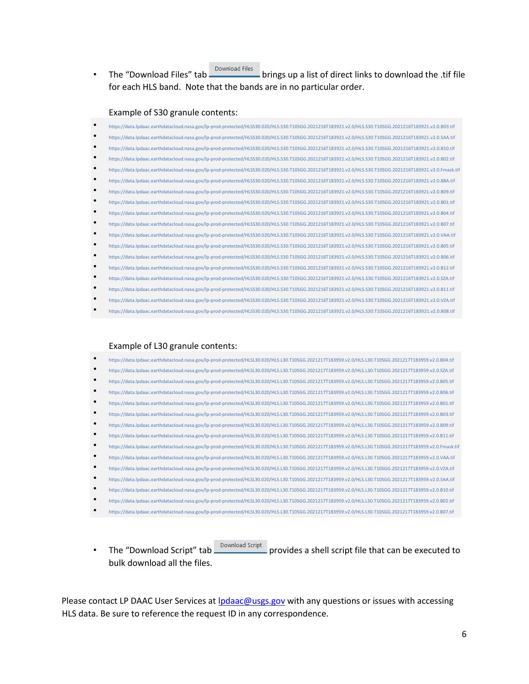• The "Download Files" tab **Download Files** brings up a list of direct links to download the .tif file for each HLS band. Note that the bands are in no particular order.

#### Example of S30 granule contents:

| $\bullet$ | https://data.lpdaac.earthdatacloud.nasa.gov/lp-prod-protected/HLSS30.020/HLS.S30.T10SGG.2021216T183921.v2.0/HLS.S30.T10SGG.2021216T183921.v2.0.B03.tif   |
|-----------|----------------------------------------------------------------------------------------------------------------------------------------------------------|
| $\bullet$ | https://data.lpdaac.earthdatacloud.nasa.gov/lp-prod-protected/HLSS30.020/HLS.S30.T10SGG.2021216T183921.v2.0/HLS.S30.T10SGG.2021216T183921.v2.0.SAA.tif   |
| $\bullet$ | https://data.lpdaac.earthdatacloud.nasa.gov/lp-prod-protected/HLSS30.020/HLS.S30.T10SGG.2021216T183921.v2.0/HLS.S30.T10SGG.2021216T183921.v2.0.B10.tif   |
| $\bullet$ | https://data.lpdaac.earthdatacloud.nasa.gov/lp-prod-protected/HLSS30.020/HLS.S30.T10SGG.2021216T183921.v2.0/HLS.S30.T10SGG.2021216T183921.v2.0.B02.tif   |
| $\bullet$ | https://data.lpdaac.earthdatacloud.nasa.gov/lp-prod-protected/HLSS30.020/HLS.S30.T10SGG.2021216T183921.v2.0/HLS.S30.T10SGG.2021216T183921.v2.0.Fmask.tif |
| $\bullet$ | https://data.lpdaac.earthdatacloud.nasa.gov/lp-prod-protected/HLSS30.020/HLS.S30.T10SGG.2021216T183921.v2.0/HLS.S30.T10SGG.2021216T183921.v2.0.B5A.tif   |
| ٠         | https://data.lpdaac.earthdatacloud.nasa.gov/lp-prod-protected/HLSS30.020/HLS.S30.T10SGG.2021216T183921.v2.0/HLS.S30.T10SGG.2021216T183921.v2.0.B09.tif   |
| ٠         | https://data.lpdaac.earthdatacloud.nasa.gov/lp-prod-protected/HLSS30.020/HLS.S30.T10SGG.2021216T183921.v2.0/HLS.S30.T10SGG.2021216T183921.v2.0.B01.tif   |
| ٠         | https://data.lpdaac.earthdatacloud.nasa.gov/lp-prod-protected/HLSS30.020/HLS.S30.T10SGG.2021216T183921.v2.0/HLS.S30.T10SGG.2021216T183921.v2.0           |
| $\bullet$ | https://data.lpdaac.earthdatacloud.nasa.gov/lp-prod-protected/HLSS30.020/HLS.S30.T10SGG.2021216T183921.v2.0/HLS.S30.T10SGG.2021216T183921.v2.0.B07.tif   |
| $\bullet$ | https://data.lpdaac.earthdatacloud.nasa.gov/lp-prod-protected/HLSS30.020/HLS.S30.T10SGG.2021216T183921.v2.0/HLS.S30.T10SGG.2021216T183921.v2.0.          |
| ٠         | https://data.lpdaac.earthdatacloud.nasa.gov/lp-prod-protected/HLSS30.020/HLS.S30.T10SGG.2021216T183921.v2.0/HLS.S30.T10SGG.2021216T183921.v2.0.B05.tif   |
| ٠         | https://data.lpdaac.earthdatacloud.nasa.gov/lp-prod-protected/HLSS30.020/HLS.S30.T10SGG.2021216T183921.v2.0/HLS.S30.T10SGG.2021216T183921.v2.0.B06.tif   |
| $\bullet$ | https://data.lpdaac.earthdatacloud.nasa.gov/lp-prod-protected/HLSS30.020/HLS.S30.T10SGG.2021216T183921.v2.0/HLS.S30.T10SGG.2021216T183921.v2.0.B12.tif   |
| $\bullet$ | https://data.lpdaac.earthdatacloud.nasa.gov/lp-prod-protected/HLSS30.020/HLS.S30.T10SGG.2021216T183921.v2.0/HLS.S30.T10SGG.2021216T183921.v2.0           |
| $\bullet$ | https://data.lpdaac.earthdatacloud.nasa.gov/lp-prod-protected/HLSS30.020/HLS.S30.T10SGG.2021216T183921.v2.0/HLS.S30.T10SGG.2021216T183921.v2.0.B11.tif   |
| $\bullet$ | https://data.lpdaac.earthdatacloud.nasa.gov/lp-prod-protected/HLSS30.020/HLS.S30.T10SGG.2021216T183921.v2.0/HLS.S30.T10SGG.2021216T183921.v2.0.VZA.tif   |
|           | https://data.lpdaac.earthdatacloud.nasa.gov/lp-prod-protected/HLSS30.020/HLS.S30.T10SGG.2021216T183921.v2.0/HLS.S30.T10SGG.2021216T183921.v2.0.B08.tif   |

#### Example of L30 granule contents:

| https://data.lpdaac.earthdatacloud.nasa.gov/lp-prod-protected/HLSL30.020/HLS.L30.T10SGG.2021217T183959.v2.0/HLS.L30.T10SGG.2021217T183959.v2.0                                              |
|---------------------------------------------------------------------------------------------------------------------------------------------------------------------------------------------|
| https://data.lpdaac.earthdatacloud.nasa.gov/lp-prod-protected/HLSL30.020/HLS.L30.T10SGG.2021217T183959.v2.0/HLS.L30.T10SGG.2021217T183959.v2.0                                              |
| https://data.lpdaac.earthdatacloud.nasa.gov/lp-prod-protected/HLSL30.020/HLS.L30.T10SGG.2021217T183959.v2.0/HLS.L30.T10SGG.2021217T183959.v2.0                                              |
| https://data.lpdaac.earthdatacloud.nasa.gov/lp-prod-protected/HLSL30.020/HLS.L30.T10SGG.2021217T183959.v2.0/HLS.L30.T10SGG.2021217T183959.v2.0.2021217T183959.v2.0.B06.tif                  |
| https://data.lpdaac.earthdatacloud.nasa.gov/lp-prod-protected/HLSL30.020/HLS.L30.T10SGG.2021217T183959.v2.0/HLS.L30.T10SGG.2021217T183959.v2.0                                              |
| https://data.lpdaac.earthdatacloud.nasa.gov/lp-prod-protected/HLSL30.020/HLS.L30.T10SGG.2021217T183959.v2.0/HLS.L30.T10SGG.2021217T183959.v2.0.2021217T183959.v2.0.B03.tif                  |
| https://data.lpdaac.earthdatacloud.nasa.gov/lp-prod-protected/HLSL30.020/HLS.L30.T10SGG.2021217T183959.v2.0/HLS.L30.T10SGG.2021217T183959.v2.0                                              |
| https://data.lpdaac.earthdatacloud.nasa.gov/lp-prod-protected/HLSL30.020/HLS.L30.T10SGG.2021217T183959.v2.0/HLS.L30.T10SGG.2021217T183959.v2.0                                              |
| https://data.lpdaac.earthdatacloud.nasa.gov/lp-prod-protected/HLSL30.020/HLS.L30.T10SGG.2021217T183959.v2.0/HLS.L30.T10SGG.2021217T183959.v2.0/FLS.L30.T10SGG.2021217T183959.v2.0.Fmask.tif |
| https://data.lpdaac.earthdatacloud.nasa.gov/lp-prod-protected/HLSL30.020/HLS.L30.T10SGG.2021217T183959.v2.0/HLS.L30.T10SGG.2021217T183959.v2.0.VAA.tif                                      |
| https://data.lpdaac.earthdatacloud.nasa.gov/lp-prod-protected/HLSL30.020/HLS.L30.T10SGG.2021217T183959.v2.0/HLS.L30.T10SGG.2021217T183959.v2.0.VZA.tif                                      |
| https://data.lpdaac.earthdatacloud.nasa.gov/lp-prod-protected/HLSL30.020/HLS.L30.T10SGG.2021217T183959.v2.0/HLS.L30.T10SGG.2021217T183959.v2.0.SAA.tif                                      |
| https://data.lpdaac.earthdatacloud.nasa.gov/lp-prod-protected/HLSL30.020/HLS.L30.T10SGG.2021217T183959.v2.0/HLS.L30.T10SGG.2021217T183959.v2.0.B10.tif                                      |
| https://data.lpdaac.earthdatacloud.nasa.gov/lp-prod-protected/HLSL30.020/HLS.L30.T10SGG.2021217T183959.v2.0/HLS.L30.T10SGG.2021217T183959.v2.0.                                             |
| https://data.lpdaac.earthdatacloud.nasa.gov/lp-prod-protected/HLSL30.020/HLS.L30.T10SGG.2021217T183959.v2.0/HLS.L30.T10SGG.2021217T183959.v2.0                                              |

• The "Download Script" tab Download Script provides a shell script file that can be executed to bulk download all the files.

Please contact LP DAAC User Services at *lpdaac@usgs.gov* with any questions or issues with accessing HLS data. Be sure to reference the request ID in any correspondence.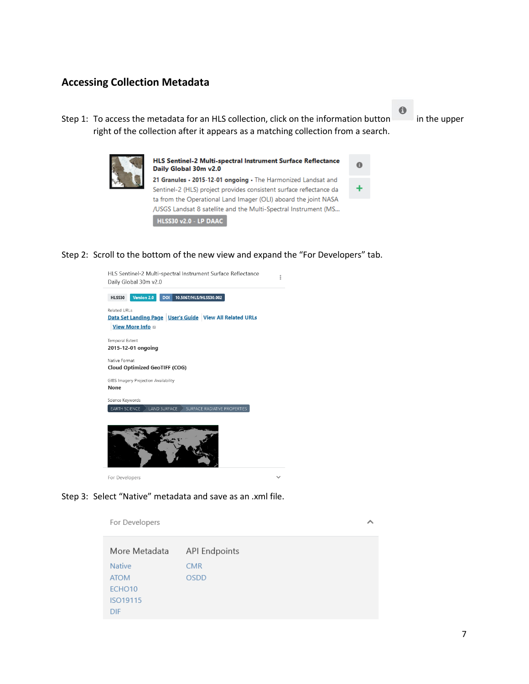## <span id="page-6-0"></span>**Accessing Collection Metadata**

Step 1: To access the metadata for an HLS collection, click on the information button in the upper right of the collection after it appears as a matching collection from a search.



| HLS Sentinel-2 Multi-spectral Instrument Surface Reflectance<br>Daily Global 30m v2.0 |  |
|---------------------------------------------------------------------------------------|--|
| 21 Granules · 2015-12-01 ongoing · The Harmonized Landsat and                         |  |
| Sentinel-2 (HLS) project provides consistent surface reflectance da                   |  |
| a from the Operational Land Imager (OLI) aboard the joint NASA                        |  |
| 'USGS Landsat 8 satellite and the Multi-Spectral Instrument (MS                       |  |
| HLSS30 v2.0 - LP DAAC                                                                 |  |
|                                                                                       |  |

#### Step 2: Scroll to the bottom of the new view and expand the "For Developers" tab.



#### Step 3: Select "Native" metadata and save as an .xml file.

For Developers

 $\lambda$ 

 $\theta$ 

A

| More Metadata      | <b>API Endpoints</b> |
|--------------------|----------------------|
| <b>Native</b>      | <b>CMR</b>           |
| <b>ATOM</b>        | <b>OSDD</b>          |
| ECHO <sub>10</sub> |                      |
| ISO19115           |                      |
| <b>DIF</b>         |                      |

7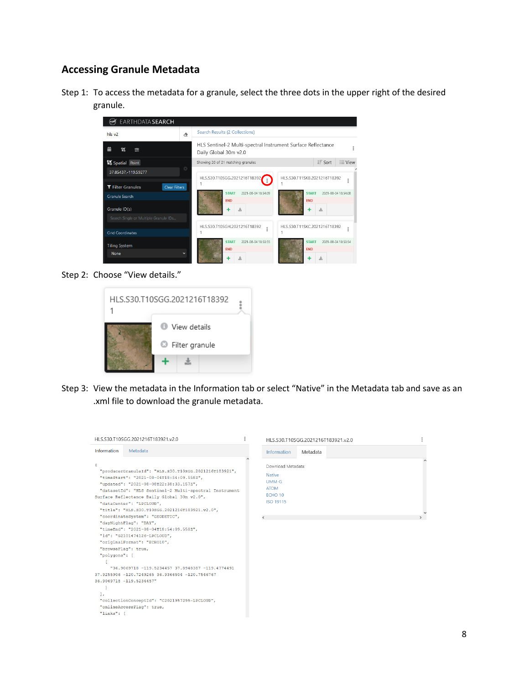### <span id="page-7-0"></span>**Accessing Granule Metadata**

Step 1: To access the metadata for a granule, select the three dots in the upper right of the desired granule.



Step 2: Choose "View details."



Step 3: View the metadata in the Information tab or select "Native" in the Metadata tab and save as an .xml file to download the granule metadata.

| <b>Information</b><br>Metadata<br><b>Information</b><br>Metadata<br>Download Metadata:<br>"producerGranuleId": "HLS.S30.T10SGG.2021216T183921",<br><b>Native</b><br>"timeStart": "2021-08-04T18:54:09.5582",<br>$UMM-G$<br>"updated": "2021-08-08T22:38:33.1572",<br><b>ATOM</b><br>"datasetId": "HLS Sentinel-2 Multi-spectral Instrument<br>FCHO <sub>10</sub><br>Surface Reflectance Daily Global 30m v2.0",<br>ISO 19115<br>"dataCenter": "LPCLOUD",<br>"title": "HLS.S30.T10SGG.2021216T183921.v2.0",<br>"coordinateSystem": "GEODETIC",<br>$\overline{\phantom{a}}$<br>$\rightarrow$<br>"dayNightFlag": "DAY",<br>"timeEnd": "2021-08-04T18:54:09.5582",<br>"id": "G2101474126-LPCLOUD",<br>"originalFormat": "ECHO10",<br>"browseFlaq": true,<br>"polygons": [<br>"36.9069718 -119.5234457 37.8948387 -119.4774491<br>37.9255906 -120.7249265 36.9366504 -120.7546767<br>36.9069718 -119.5234457"<br>17<br>"collectionConceptId": "C2021957295-LPCLOUD",<br>"onlineAccessFlaq": true, | HLS.S30.T10SGG.2021216T183921.v2.0 |  | HLS.S30.T10SGG.2021216T183921.v2.0 |  |
|----------------------------------------------------------------------------------------------------------------------------------------------------------------------------------------------------------------------------------------------------------------------------------------------------------------------------------------------------------------------------------------------------------------------------------------------------------------------------------------------------------------------------------------------------------------------------------------------------------------------------------------------------------------------------------------------------------------------------------------------------------------------------------------------------------------------------------------------------------------------------------------------------------------------------------------------------------------------------------------------|------------------------------------|--|------------------------------------|--|
|                                                                                                                                                                                                                                                                                                                                                                                                                                                                                                                                                                                                                                                                                                                                                                                                                                                                                                                                                                                              |                                    |  |                                    |  |
|                                                                                                                                                                                                                                                                                                                                                                                                                                                                                                                                                                                                                                                                                                                                                                                                                                                                                                                                                                                              |                                    |  |                                    |  |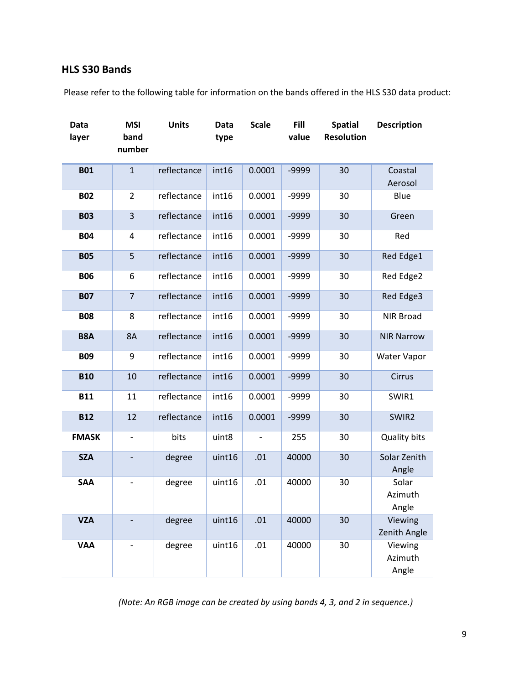### <span id="page-8-0"></span>**HLS S30 Bands**

Please refer to the following table for information on the bands offered in the HLS S30 data product:

| <b>Data</b><br>layer | <b>MSI</b><br>band<br>number | <b>Units</b> | <b>Data</b><br>type | <b>Scale</b>  | Fill<br>value | <b>Spatial</b><br><b>Resolution</b> | <b>Description</b>          |
|----------------------|------------------------------|--------------|---------------------|---------------|---------------|-------------------------------------|-----------------------------|
| <b>B01</b>           | $\mathbf{1}$                 | reflectance  | int16               | 0.0001        | -9999         | 30                                  | Coastal<br>Aerosol          |
| <b>B02</b>           | $\overline{2}$               | reflectance  | int16               | 0.0001        | -9999         | 30                                  | Blue                        |
| <b>B03</b>           | $\overline{3}$               | reflectance  | int16               | 0.0001        | -9999         | 30                                  | Green                       |
| <b>B04</b>           | 4                            | reflectance  | int16               | 0.0001        | -9999         | 30                                  | Red                         |
| <b>B05</b>           | 5                            | reflectance  | int16               | 0.0001        | -9999         | 30                                  | Red Edge1                   |
| <b>B06</b>           | 6                            | reflectance  | int16               | 0.0001        | -9999         | 30                                  | Red Edge2                   |
| <b>B07</b>           | $\overline{7}$               | reflectance  | int16               | 0.0001        | -9999         | 30                                  | Red Edge3                   |
| <b>B08</b>           | 8                            | reflectance  | int16               | 0.0001        | -9999         | 30                                  | <b>NIR Broad</b>            |
| B8A                  | <b>8A</b>                    | reflectance  | int16               | 0.0001        | -9999         | 30                                  | <b>NIR Narrow</b>           |
| <b>B09</b>           | 9                            | reflectance  | int16               | 0.0001        | -9999         | 30                                  | <b>Water Vapor</b>          |
| <b>B10</b>           | 10                           | reflectance  | int16               | 0.0001        | -9999         | 30                                  | Cirrus                      |
| <b>B11</b>           | 11                           | reflectance  | int16               | 0.0001        | -9999         | 30                                  | SWIR1                       |
| <b>B12</b>           | 12                           | reflectance  | int16               | 0.0001        | -9999         | 30                                  | SWIR2                       |
| <b>FMASK</b>         | $\qquad \qquad \blacksquare$ | bits         | uint8               | $\frac{1}{2}$ | 255           | 30                                  | <b>Quality bits</b>         |
| <b>SZA</b>           | $\overline{\phantom{a}}$     | degree       | uint16              | .01           | 40000         | 30                                  | Solar Zenith<br>Angle       |
| <b>SAA</b>           | $\overline{\phantom{a}}$     | degree       | uint16              | .01           | 40000         | 30                                  | Solar<br>Azimuth<br>Angle   |
| <b>VZA</b>           |                              | degree       | uint16              | .01           | 40000         | 30                                  | Viewing<br>Zenith Angle     |
| <b>VAA</b>           |                              | degree       | uint16              | .01           | 40000         | 30                                  | Viewing<br>Azimuth<br>Angle |

*(Note: An RGB image can be created by using bands 4, 3, and 2 in sequence.)*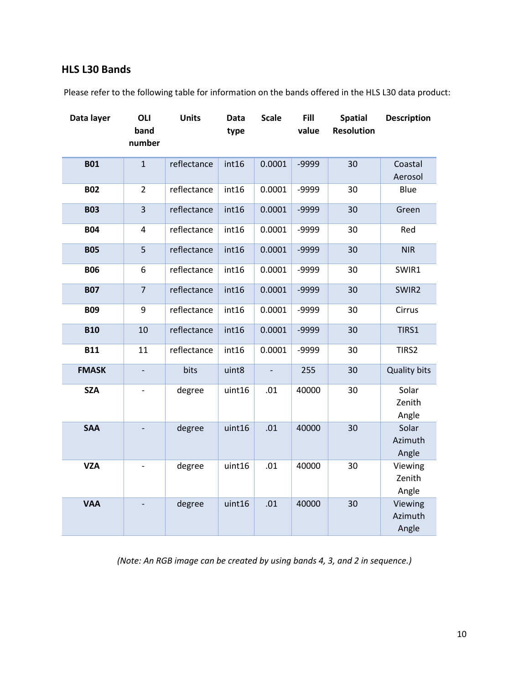## <span id="page-9-0"></span>**HLS L30 Bands**

Please refer to the following table for information on the bands offered in the HLS L30 data product:

| Data layer   | OLI                          | <b>Units</b> | <b>Data</b> | <b>Scale</b> | Fill  | <b>Spatial</b>    | <b>Description</b>          |
|--------------|------------------------------|--------------|-------------|--------------|-------|-------------------|-----------------------------|
|              | band<br>number               |              | type        |              | value | <b>Resolution</b> |                             |
| <b>B01</b>   | $\mathbf{1}$                 | reflectance  | int16       | 0.0001       | -9999 | 30                | Coastal                     |
|              |                              |              |             |              |       |                   | Aerosol                     |
| <b>B02</b>   | $\overline{2}$               | reflectance  | int16       | 0.0001       | -9999 | 30                | Blue                        |
| <b>B03</b>   | 3                            | reflectance  | int16       | 0.0001       | -9999 | 30                | Green                       |
| <b>B04</b>   | 4                            | reflectance  | int16       | 0.0001       | -9999 | 30                | Red                         |
| <b>B05</b>   | 5                            | reflectance  | int16       | 0.0001       | -9999 | 30                | <b>NIR</b>                  |
| <b>B06</b>   | 6                            | reflectance  | int16       | 0.0001       | -9999 | 30                | SWIR1                       |
| <b>B07</b>   | $\overline{7}$               | reflectance  | int16       | 0.0001       | -9999 | 30                | SWIR2                       |
| <b>B09</b>   | 9                            | reflectance  | int16       | 0.0001       | -9999 | 30                | Cirrus                      |
| <b>B10</b>   | 10                           | reflectance  | int16       | 0.0001       | -9999 | 30                | TIRS1                       |
| <b>B11</b>   | 11                           | reflectance  | int16       | 0.0001       | -9999 | 30                | TIRS2                       |
| <b>FMASK</b> |                              | bits         | uint8       |              | 255   | 30                | <b>Quality bits</b>         |
| <b>SZA</b>   | $\qquad \qquad \blacksquare$ | degree       | uint16      | .01          | 40000 | 30                | Solar<br>Zenith<br>Angle    |
| <b>SAA</b>   |                              | degree       | uint16      | .01          | 40000 | 30                | Solar<br>Azimuth<br>Angle   |
| <b>VZA</b>   |                              | degree       | uint16      | .01          | 40000 | 30                | Viewing<br>Zenith<br>Angle  |
| <b>VAA</b>   | $\overline{a}$               | degree       | uint16      | .01          | 40000 | 30                | Viewing<br>Azimuth<br>Angle |

*(Note: An RGB image can be created by using bands 4, 3, and 2 in sequence.)*